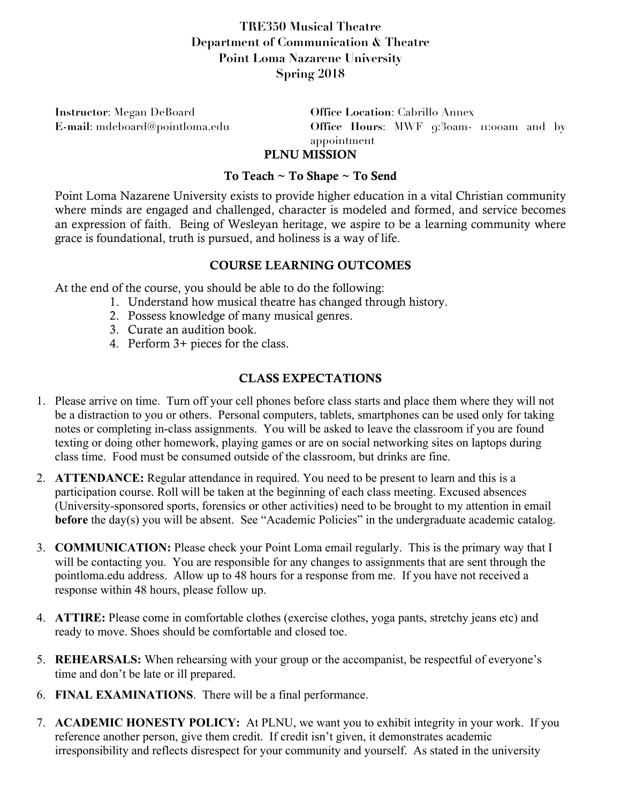## **TRE350 Musical Theatre Department of Communication & Theatre Point Loma Nazarene University Spring 2018**

**Instructor**: Megan DeBoard **Office Location**: Cabrillo Annex

**E-mail**: mdeboard@pointloma.edu **Office Hours**: MWF 9:30am- 11:00am and by appointment

# PLNU MISSION

### To Teach ~ To Shape ~ To Send

Point Loma Nazarene University exists to provide higher education in a vital Christian community where minds are engaged and challenged, character is modeled and formed, and service becomes an expression of faith. Being of Wesleyan heritage, we aspire to be a learning community where grace is foundational, truth is pursued, and holiness is a way of life.

### COURSE LEARNING OUTCOMES

At the end of the course, you should be able to do the following:

- 1. Understand how musical theatre has changed through history.
- 2. Possess knowledge of many musical genres.
- 3. Curate an audition book.
- 4. Perform 3+ pieces for the class.

### CLASS EXPECTATIONS

- 1. Please arrive on time. Turn off your cell phones before class starts and place them where they will not be a distraction to you or others. Personal computers, tablets, smartphones can be used only for taking notes or completing in-class assignments. You will be asked to leave the classroom if you are found texting or doing other homework, playing games or are on social networking sites on laptops during class time. Food must be consumed outside of the classroom, but drinks are fine.
- 2. **ATTENDANCE:** Regular attendance in required. You need to be present to learn and this is a participation course. Roll will be taken at the beginning of each class meeting. Excused absences (University-sponsored sports, forensics or other activities) need to be brought to my attention in email **before** the day(s) you will be absent. See "Academic Policies" in the undergraduate academic catalog.
- 3. **COMMUNICATION:** Please check your Point Loma email regularly. This is the primary way that I will be contacting you. You are responsible for any changes to assignments that are sent through the pointloma.edu address. Allow up to 48 hours for a response from me. If you have not received a response within 48 hours, please follow up.
- 4. **ATTIRE:** Please come in comfortable clothes (exercise clothes, yoga pants, stretchy jeans etc) and ready to move. Shoes should be comfortable and closed toe.
- 5. **REHEARSALS:** When rehearsing with your group or the accompanist, be respectful of everyone's time and don't be late or ill prepared.
- 6. **FINAL EXAMINATIONS**. There will be a final performance.
- 7. **ACADEMIC HONESTY POLICY:** At PLNU, we want you to exhibit integrity in your work. If you reference another person, give them credit. If credit isn't given, it demonstrates academic irresponsibility and reflects disrespect for your community and yourself. As stated in the university